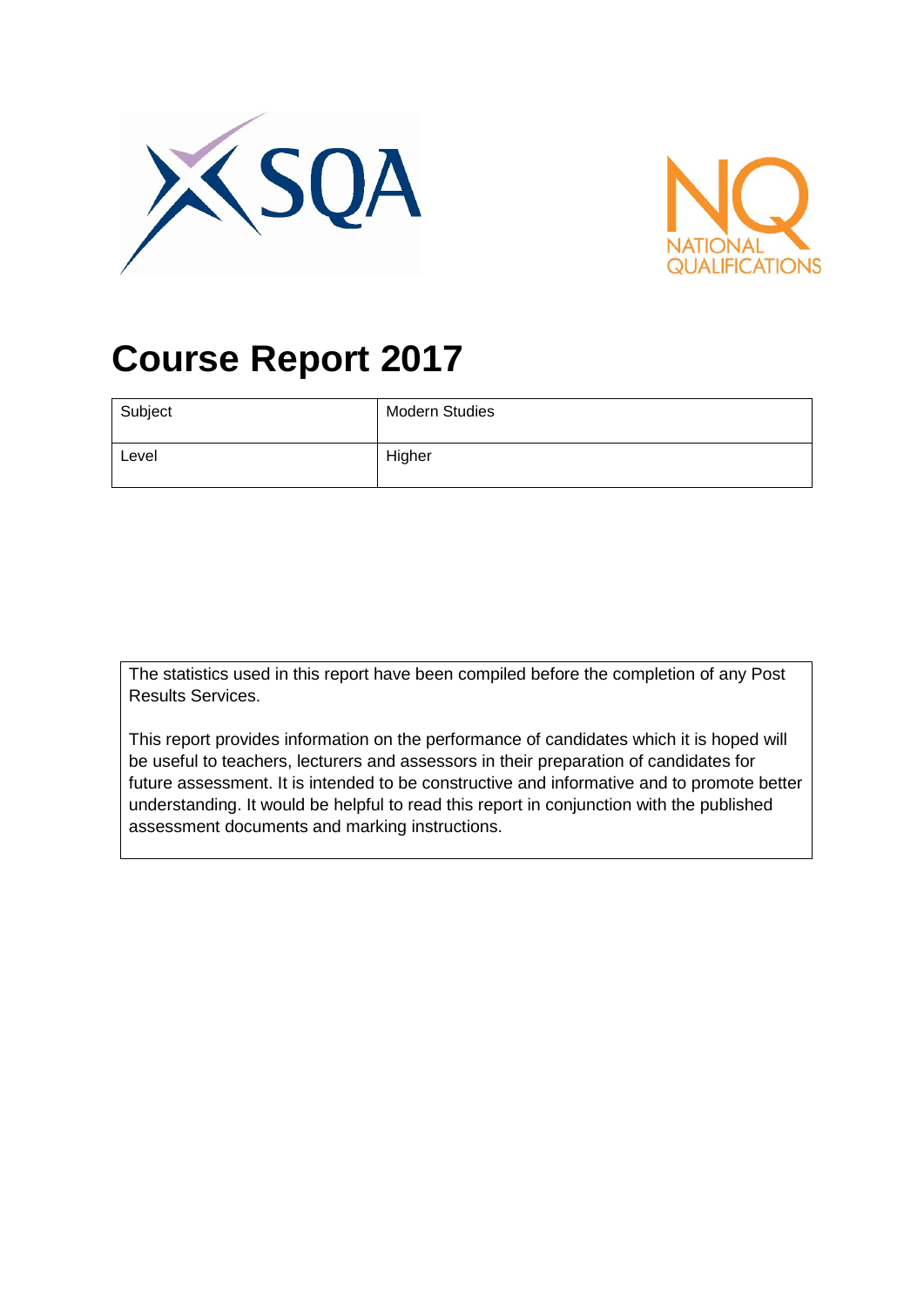



# **Course Report 2017**

| Subject | <b>Modern Studies</b> |
|---------|-----------------------|
| Level   | Higher                |

The statistics used in this report have been compiled before the completion of any Post Results Services.

This report provides information on the performance of candidates which it is hoped will be useful to teachers, lecturers and assessors in their preparation of candidates for future assessment. It is intended to be constructive and informative and to promote better understanding. It would be helpful to read this report in conjunction with the published assessment documents and marking instructions.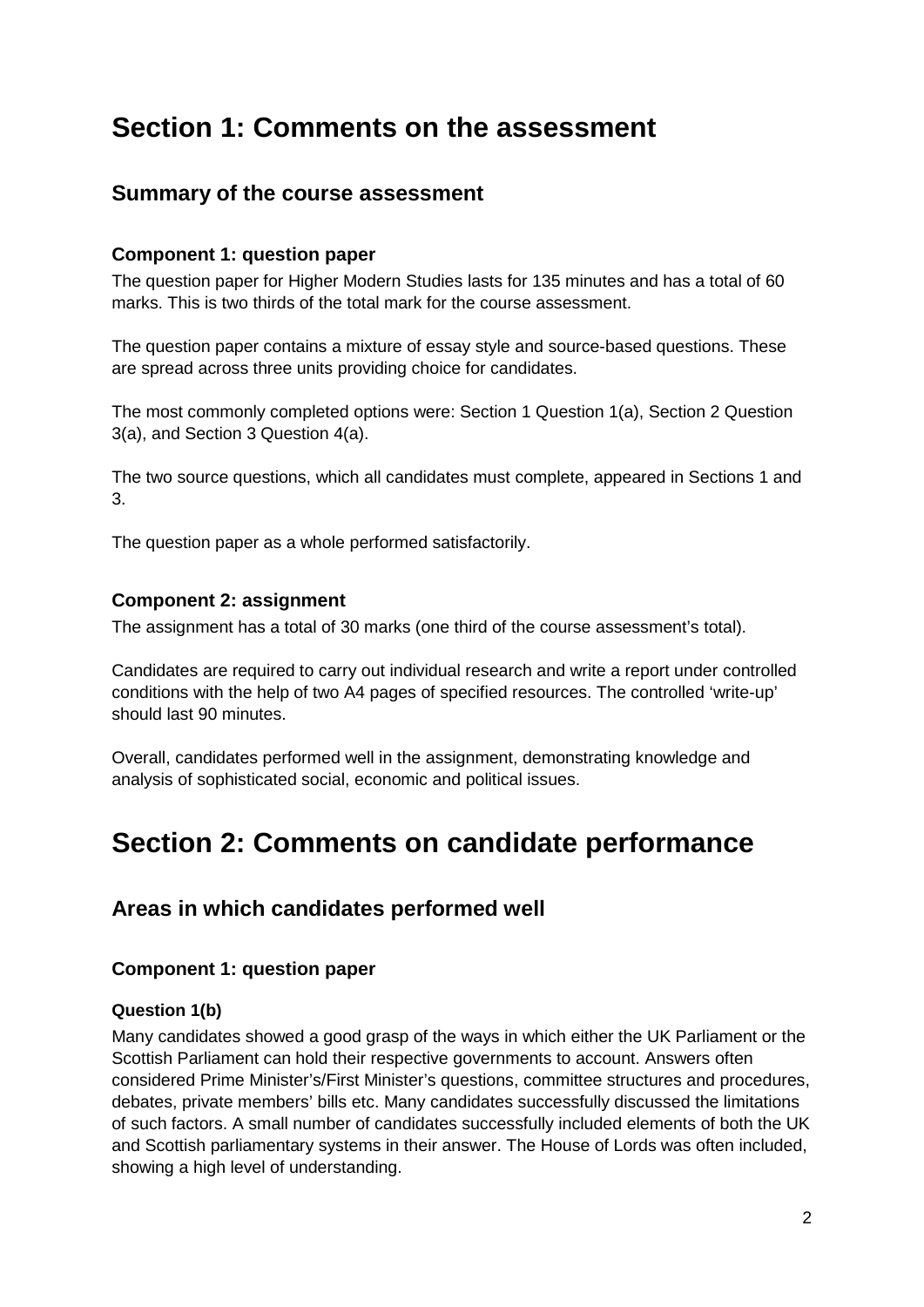# **Section 1: Comments on the assessment**

### **Summary of the course assessment**

#### **Component 1: question paper**

The question paper for Higher Modern Studies lasts for 135 minutes and has a total of 60 marks. This is two thirds of the total mark for the course assessment.

The question paper contains a mixture of essay style and source-based questions. These are spread across three units providing choice for candidates.

The most commonly completed options were: Section 1 Question 1(a), Section 2 Question 3(a), and Section 3 Question 4(a).

The two source questions, which all candidates must complete, appeared in Sections 1 and 3.

The question paper as a whole performed satisfactorily.

#### **Component 2: assignment**

The assignment has a total of 30 marks (one third of the course assessment's total).

Candidates are required to carry out individual research and write a report under controlled conditions with the help of two A4 pages of specified resources. The controlled 'write-up' should last 90 minutes.

Overall, candidates performed well in the assignment, demonstrating knowledge and analysis of sophisticated social, economic and political issues.

# **Section 2: Comments on candidate performance**

#### **Areas in which candidates performed well**

#### **Component 1: question paper**

#### **Question 1(b)**

Many candidates showed a good grasp of the ways in which either the UK Parliament or the Scottish Parliament can hold their respective governments to account. Answers often considered Prime Minister's/First Minister's questions, committee structures and procedures, debates, private members' bills etc. Many candidates successfully discussed the limitations of such factors. A small number of candidates successfully included elements of both the UK and Scottish parliamentary systems in their answer. The House of Lords was often included, showing a high level of understanding.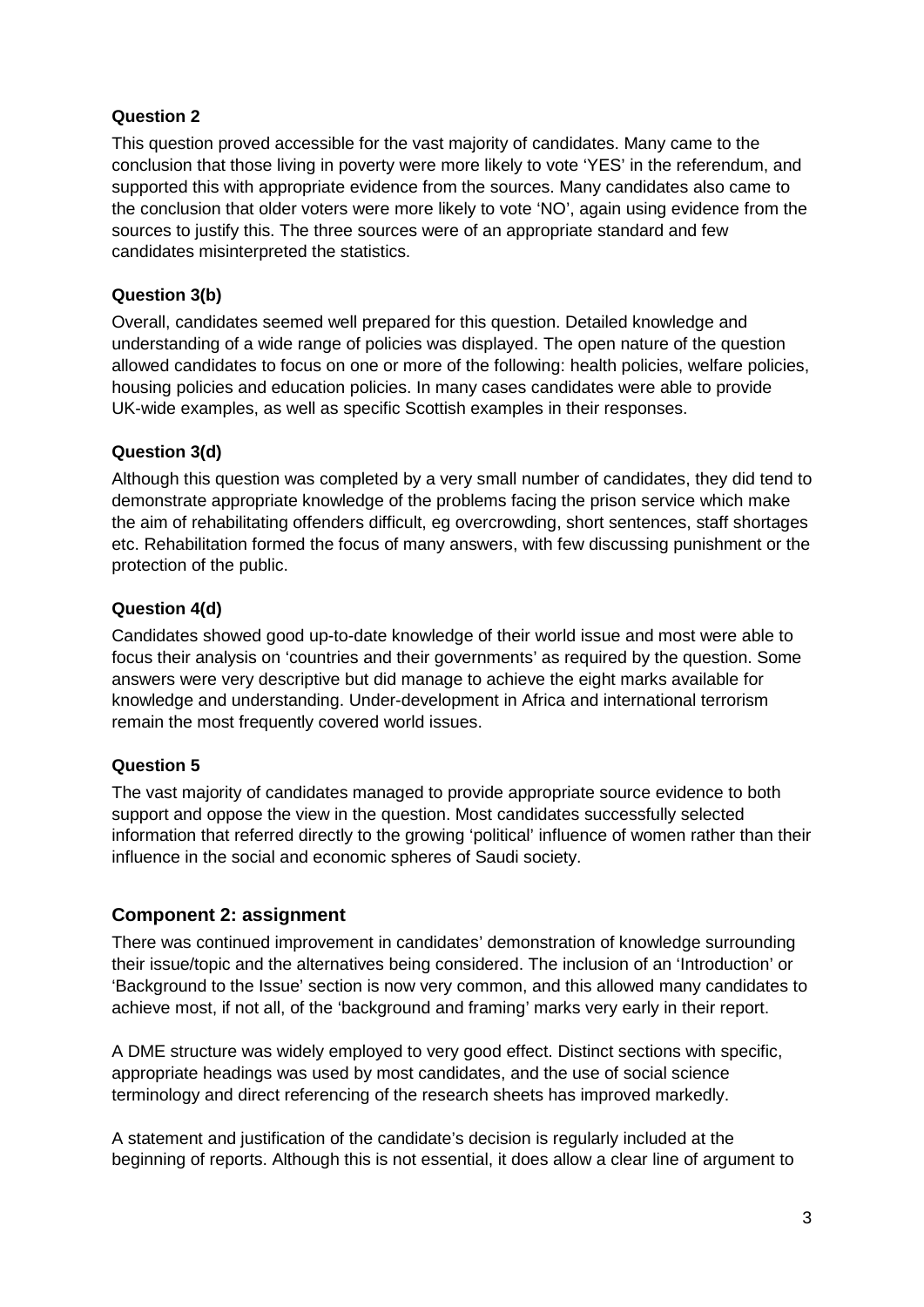#### **Question 2**

This question proved accessible for the vast majority of candidates. Many came to the conclusion that those living in poverty were more likely to vote 'YES' in the referendum, and supported this with appropriate evidence from the sources. Many candidates also came to the conclusion that older voters were more likely to vote 'NO', again using evidence from the sources to justify this. The three sources were of an appropriate standard and few candidates misinterpreted the statistics.

#### **Question 3(b)**

Overall, candidates seemed well prepared for this question. Detailed knowledge and understanding of a wide range of policies was displayed. The open nature of the question allowed candidates to focus on one or more of the following: health policies, welfare policies, housing policies and education policies. In many cases candidates were able to provide UK-wide examples, as well as specific Scottish examples in their responses.

#### **Question 3(d)**

Although this question was completed by a very small number of candidates, they did tend to demonstrate appropriate knowledge of the problems facing the prison service which make the aim of rehabilitating offenders difficult, eg overcrowding, short sentences, staff shortages etc. Rehabilitation formed the focus of many answers, with few discussing punishment or the protection of the public.

#### **Question 4(d)**

Candidates showed good up-to-date knowledge of their world issue and most were able to focus their analysis on 'countries and their governments' as required by the question. Some answers were very descriptive but did manage to achieve the eight marks available for knowledge and understanding. Under-development in Africa and international terrorism remain the most frequently covered world issues.

#### **Question 5**

The vast majority of candidates managed to provide appropriate source evidence to both support and oppose the view in the question. Most candidates successfully selected information that referred directly to the growing 'political' influence of women rather than their influence in the social and economic spheres of Saudi society.

#### **Component 2: assignment**

There was continued improvement in candidates' demonstration of knowledge surrounding their issue/topic and the alternatives being considered. The inclusion of an 'Introduction' or 'Background to the Issue' section is now very common, and this allowed many candidates to achieve most, if not all, of the 'background and framing' marks very early in their report.

A DME structure was widely employed to very good effect. Distinct sections with specific, appropriate headings was used by most candidates, and the use of social science terminology and direct referencing of the research sheets has improved markedly.

A statement and justification of the candidate's decision is regularly included at the beginning of reports. Although this is not essential, it does allow a clear line of argument to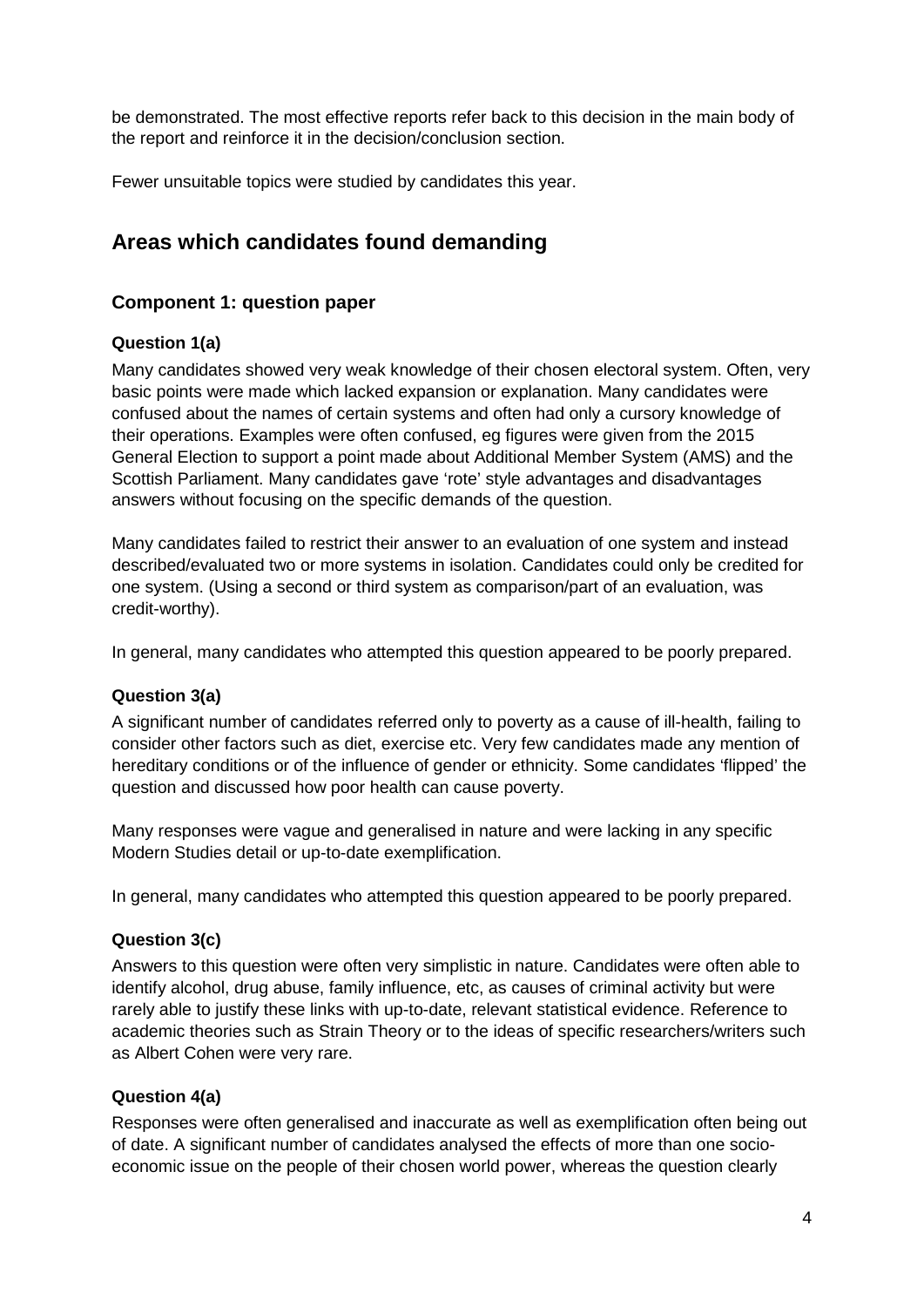be demonstrated. The most effective reports refer back to this decision in the main body of the report and reinforce it in the decision/conclusion section.

Fewer unsuitable topics were studied by candidates this year.

# **Areas which candidates found demanding**

#### **Component 1: question paper**

#### **Question 1(a)**

Many candidates showed very weak knowledge of their chosen electoral system. Often, very basic points were made which lacked expansion or explanation. Many candidates were confused about the names of certain systems and often had only a cursory knowledge of their operations. Examples were often confused, eg figures were given from the 2015 General Election to support a point made about Additional Member System (AMS) and the Scottish Parliament. Many candidates gave 'rote' style advantages and disadvantages answers without focusing on the specific demands of the question.

Many candidates failed to restrict their answer to an evaluation of one system and instead described/evaluated two or more systems in isolation. Candidates could only be credited for one system. (Using a second or third system as comparison/part of an evaluation, was credit-worthy).

In general, many candidates who attempted this question appeared to be poorly prepared.

#### **Question 3(a)**

A significant number of candidates referred only to poverty as a cause of ill-health, failing to consider other factors such as diet, exercise etc. Very few candidates made any mention of hereditary conditions or of the influence of gender or ethnicity. Some candidates 'flipped' the question and discussed how poor health can cause poverty.

Many responses were vague and generalised in nature and were lacking in any specific Modern Studies detail or up-to-date exemplification.

In general, many candidates who attempted this question appeared to be poorly prepared.

#### **Question 3(c)**

Answers to this question were often very simplistic in nature. Candidates were often able to identify alcohol, drug abuse, family influence, etc, as causes of criminal activity but were rarely able to justify these links with up-to-date, relevant statistical evidence. Reference to academic theories such as Strain Theory or to the ideas of specific researchers/writers such as Albert Cohen were very rare.

#### **Question 4(a)**

Responses were often generalised and inaccurate as well as exemplification often being out of date. A significant number of candidates analysed the effects of more than one socioeconomic issue on the people of their chosen world power, whereas the question clearly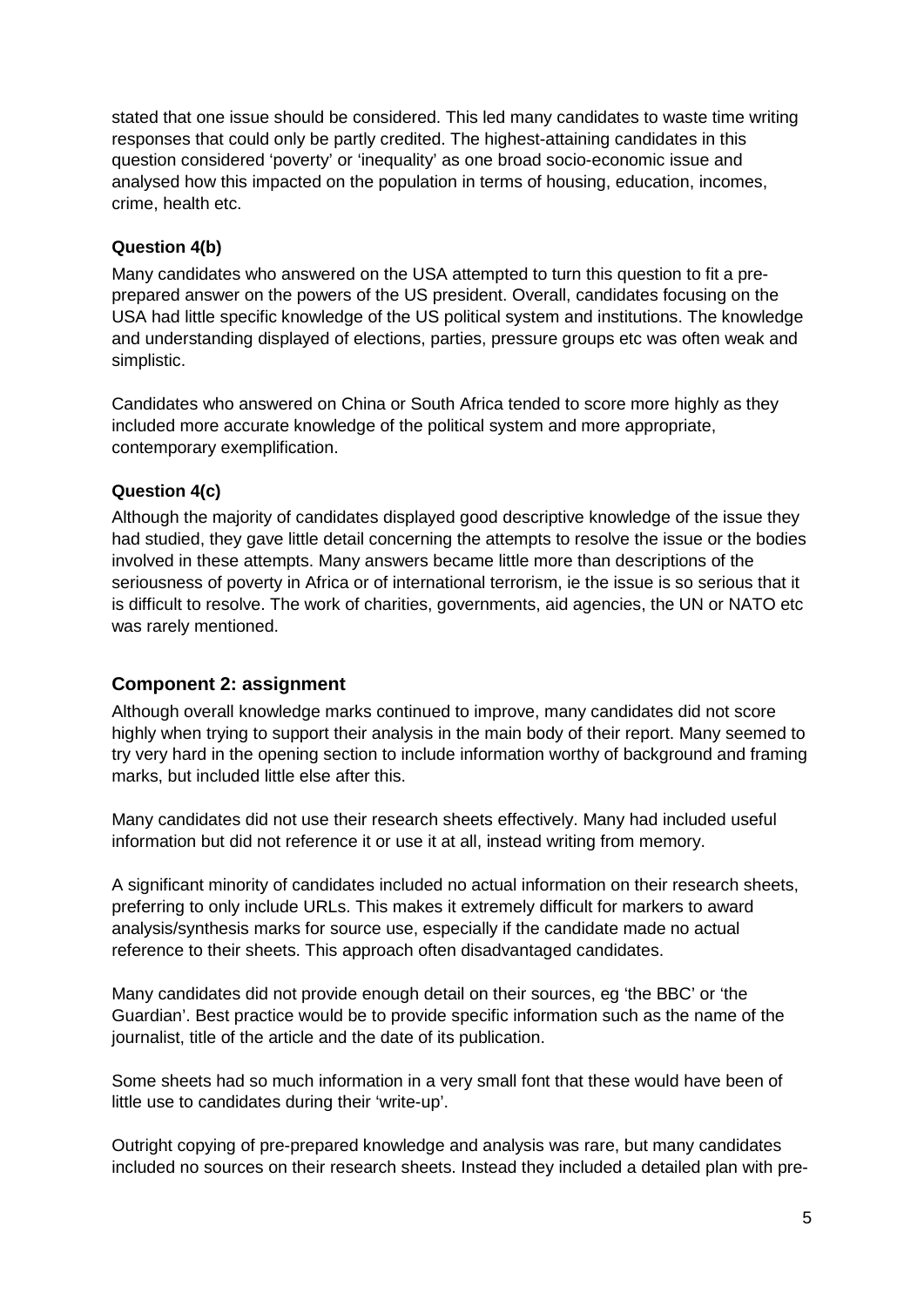stated that one issue should be considered. This led many candidates to waste time writing responses that could only be partly credited. The highest-attaining candidates in this question considered 'poverty' or 'inequality' as one broad socio-economic issue and analysed how this impacted on the population in terms of housing, education, incomes, crime, health etc.

#### **Question 4(b)**

Many candidates who answered on the USA attempted to turn this question to fit a preprepared answer on the powers of the US president. Overall, candidates focusing on the USA had little specific knowledge of the US political system and institutions. The knowledge and understanding displayed of elections, parties, pressure groups etc was often weak and simplistic.

Candidates who answered on China or South Africa tended to score more highly as they included more accurate knowledge of the political system and more appropriate, contemporary exemplification.

#### **Question 4(c)**

Although the majority of candidates displayed good descriptive knowledge of the issue they had studied, they gave little detail concerning the attempts to resolve the issue or the bodies involved in these attempts. Many answers became little more than descriptions of the seriousness of poverty in Africa or of international terrorism, ie the issue is so serious that it is difficult to resolve. The work of charities, governments, aid agencies, the UN or NATO etc was rarely mentioned.

#### **Component 2: assignment**

Although overall knowledge marks continued to improve, many candidates did not score highly when trying to support their analysis in the main body of their report. Many seemed to try very hard in the opening section to include information worthy of background and framing marks, but included little else after this.

Many candidates did not use their research sheets effectively. Many had included useful information but did not reference it or use it at all, instead writing from memory.

A significant minority of candidates included no actual information on their research sheets, preferring to only include URLs. This makes it extremely difficult for markers to award analysis/synthesis marks for source use, especially if the candidate made no actual reference to their sheets. This approach often disadvantaged candidates.

Many candidates did not provide enough detail on their sources, eg 'the BBC' or 'the Guardian'. Best practice would be to provide specific information such as the name of the journalist, title of the article and the date of its publication.

Some sheets had so much information in a very small font that these would have been of little use to candidates during their 'write-up'.

Outright copying of pre-prepared knowledge and analysis was rare, but many candidates included no sources on their research sheets. Instead they included a detailed plan with pre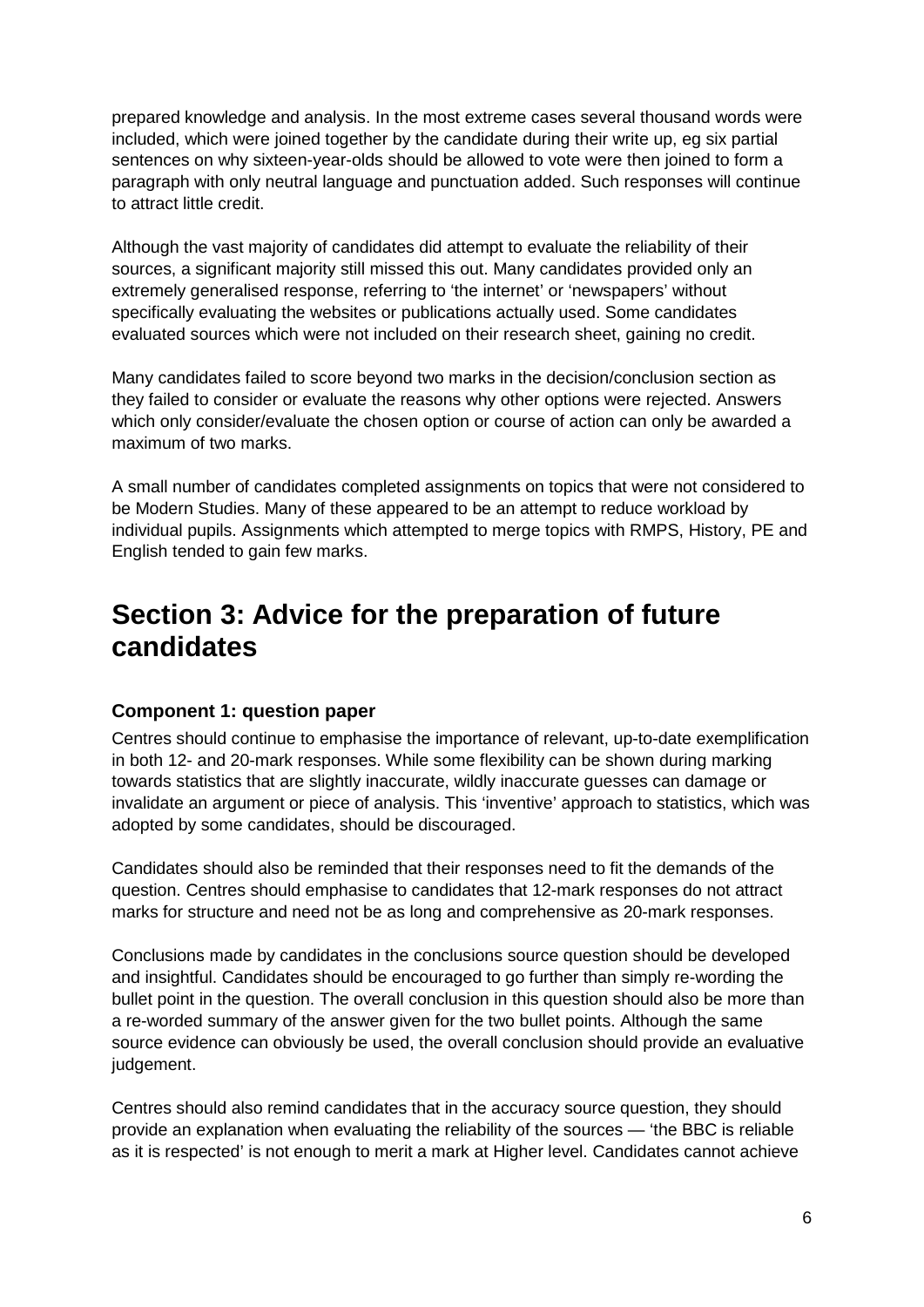prepared knowledge and analysis. In the most extreme cases several thousand words were included, which were joined together by the candidate during their write up, eg six partial sentences on why sixteen-year-olds should be allowed to vote were then joined to form a paragraph with only neutral language and punctuation added. Such responses will continue to attract little credit.

Although the vast majority of candidates did attempt to evaluate the reliability of their sources, a significant majority still missed this out. Many candidates provided only an extremely generalised response, referring to 'the internet' or 'newspapers' without specifically evaluating the websites or publications actually used. Some candidates evaluated sources which were not included on their research sheet, gaining no credit.

Many candidates failed to score beyond two marks in the decision/conclusion section as they failed to consider or evaluate the reasons why other options were rejected. Answers which only consider/evaluate the chosen option or course of action can only be awarded a maximum of two marks.

A small number of candidates completed assignments on topics that were not considered to be Modern Studies. Many of these appeared to be an attempt to reduce workload by individual pupils. Assignments which attempted to merge topics with RMPS, History, PE and English tended to gain few marks.

# **Section 3: Advice for the preparation of future candidates**

#### **Component 1: question paper**

Centres should continue to emphasise the importance of relevant, up-to-date exemplification in both 12- and 20-mark responses. While some flexibility can be shown during marking towards statistics that are slightly inaccurate, wildly inaccurate guesses can damage or invalidate an argument or piece of analysis. This 'inventive' approach to statistics, which was adopted by some candidates, should be discouraged.

Candidates should also be reminded that their responses need to fit the demands of the question. Centres should emphasise to candidates that 12-mark responses do not attract marks for structure and need not be as long and comprehensive as 20-mark responses.

Conclusions made by candidates in the conclusions source question should be developed and insightful. Candidates should be encouraged to go further than simply re-wording the bullet point in the question. The overall conclusion in this question should also be more than a re-worded summary of the answer given for the two bullet points. Although the same source evidence can obviously be used, the overall conclusion should provide an evaluative judgement.

Centres should also remind candidates that in the accuracy source question, they should provide an explanation when evaluating the reliability of the sources — 'the BBC is reliable as it is respected' is not enough to merit a mark at Higher level. Candidates cannot achieve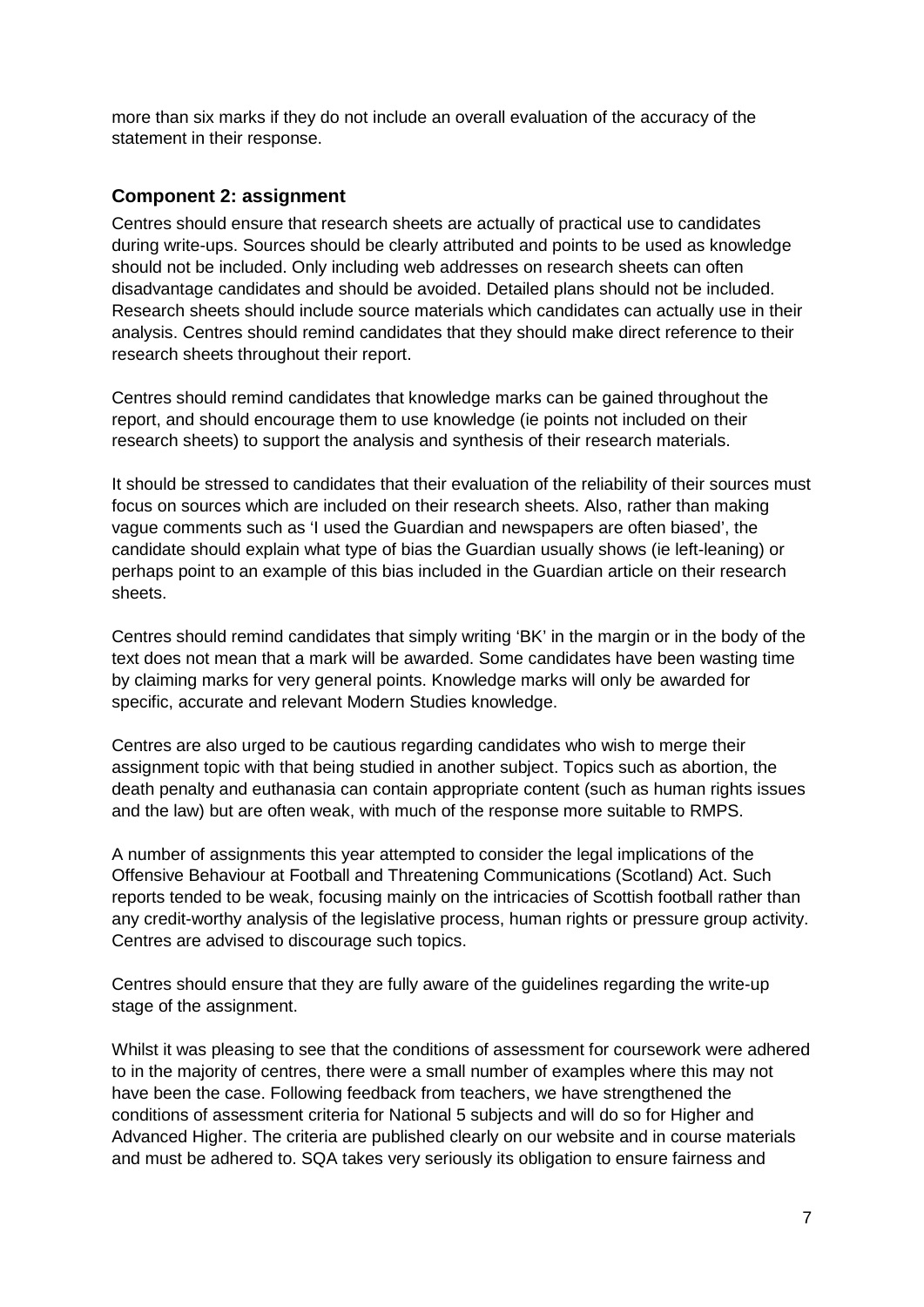more than six marks if they do not include an overall evaluation of the accuracy of the statement in their response.

#### **Component 2: assignment**

Centres should ensure that research sheets are actually of practical use to candidates during write-ups. Sources should be clearly attributed and points to be used as knowledge should not be included. Only including web addresses on research sheets can often disadvantage candidates and should be avoided. Detailed plans should not be included. Research sheets should include source materials which candidates can actually use in their analysis. Centres should remind candidates that they should make direct reference to their research sheets throughout their report.

Centres should remind candidates that knowledge marks can be gained throughout the report, and should encourage them to use knowledge (ie points not included on their research sheets) to support the analysis and synthesis of their research materials.

It should be stressed to candidates that their evaluation of the reliability of their sources must focus on sources which are included on their research sheets. Also, rather than making vague comments such as 'I used the Guardian and newspapers are often biased', the candidate should explain what type of bias the Guardian usually shows (ie left-leaning) or perhaps point to an example of this bias included in the Guardian article on their research sheets.

Centres should remind candidates that simply writing 'BK' in the margin or in the body of the text does not mean that a mark will be awarded. Some candidates have been wasting time by claiming marks for very general points. Knowledge marks will only be awarded for specific, accurate and relevant Modern Studies knowledge.

Centres are also urged to be cautious regarding candidates who wish to merge their assignment topic with that being studied in another subject. Topics such as abortion, the death penalty and euthanasia can contain appropriate content (such as human rights issues and the law) but are often weak, with much of the response more suitable to RMPS.

A number of assignments this year attempted to consider the legal implications of the Offensive Behaviour at Football and Threatening Communications (Scotland) Act. Such reports tended to be weak, focusing mainly on the intricacies of Scottish football rather than any credit-worthy analysis of the legislative process, human rights or pressure group activity. Centres are advised to discourage such topics.

Centres should ensure that they are fully aware of the guidelines regarding the write-up stage of the assignment.

Whilst it was pleasing to see that the conditions of assessment for coursework were adhered to in the majority of centres, there were a small number of examples where this may not have been the case. Following feedback from teachers, we have strengthened the conditions of assessment criteria for National 5 subjects and will do so for Higher and Advanced Higher. The criteria are published clearly on our website and in course materials and must be adhered to. SQA takes very seriously its obligation to ensure fairness and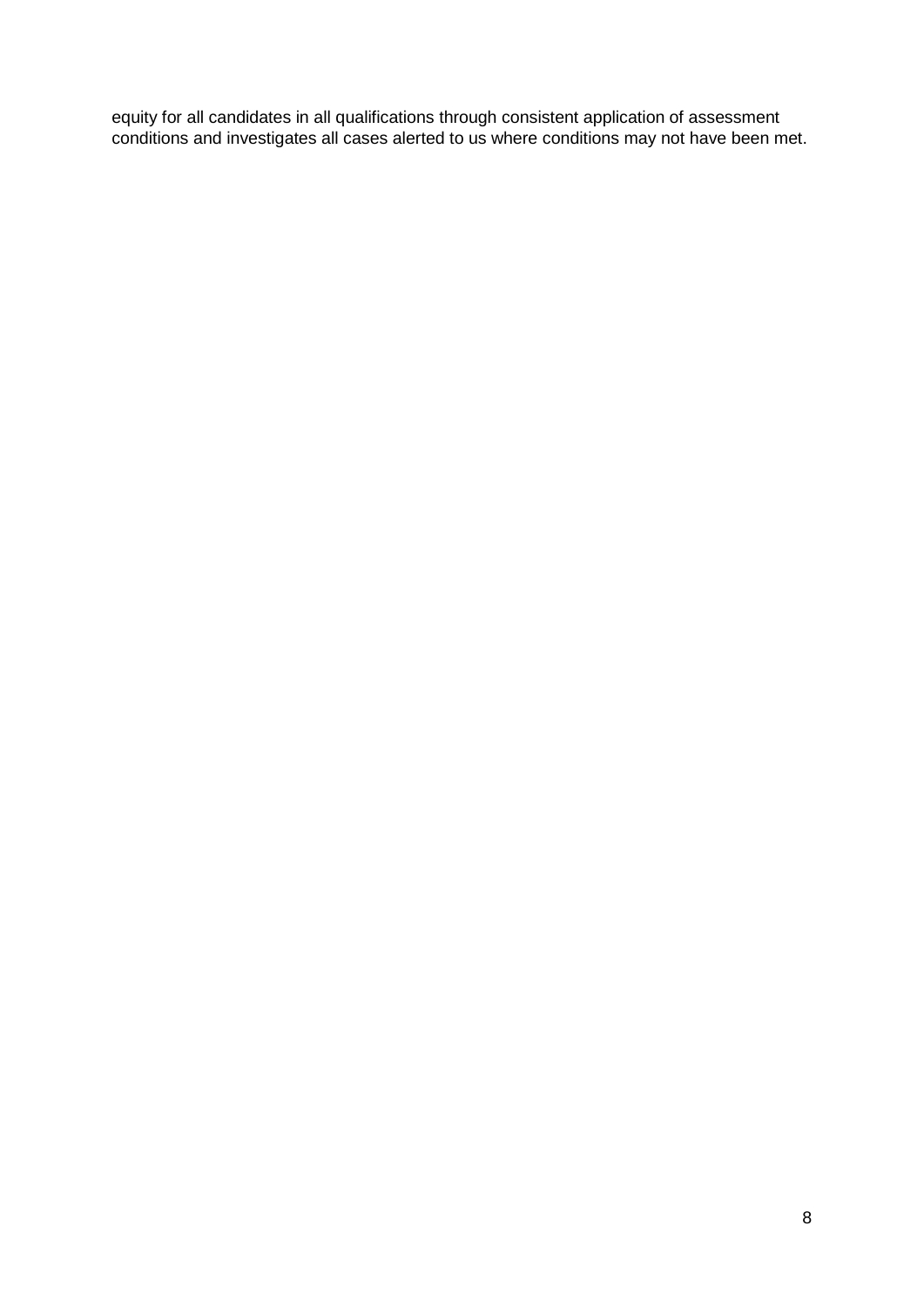equity for all candidates in all qualifications through consistent application of assessment conditions and investigates all cases alerted to us where conditions may not have been met.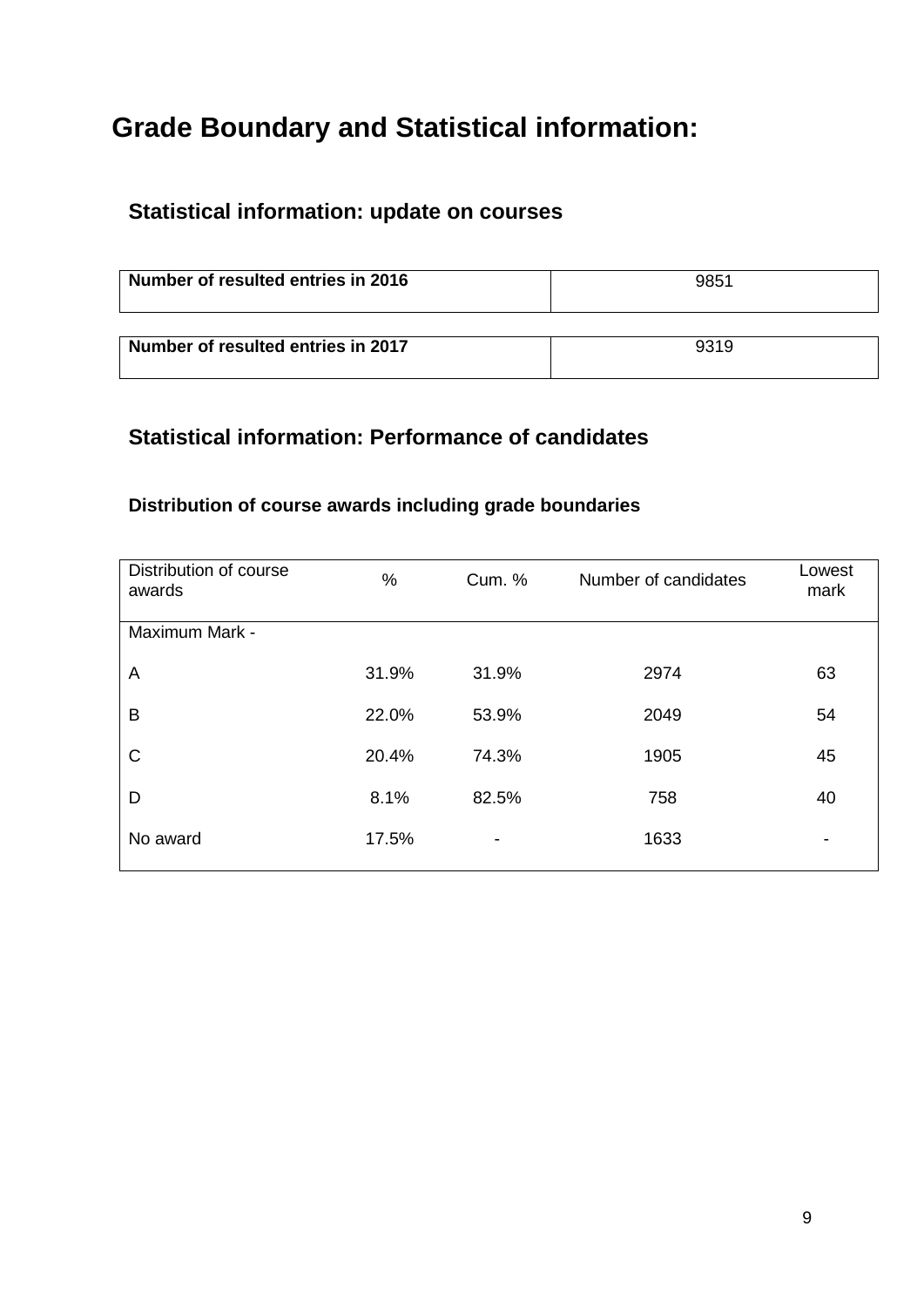# **Grade Boundary and Statistical information:**

## **Statistical information: update on courses**

| Number of resulted entries in 2016 | 9851 |
|------------------------------------|------|
|                                    |      |
| Number of resulted entries in 2017 | 9319 |

## **Statistical information: Performance of candidates**

### **Distribution of course awards including grade boundaries**

| Distribution of course<br>awards | $\%$  | <b>Cum. %</b>            | Number of candidates | Lowest<br>mark           |
|----------------------------------|-------|--------------------------|----------------------|--------------------------|
| Maximum Mark -                   |       |                          |                      |                          |
| A                                | 31.9% | 31.9%                    | 2974                 | 63                       |
| B                                | 22.0% | 53.9%                    | 2049                 | 54                       |
| $\mathsf{C}$                     | 20.4% | 74.3%                    | 1905                 | 45                       |
| D                                | 8.1%  | 82.5%                    | 758                  | 40                       |
| No award                         | 17.5% | $\overline{\phantom{a}}$ | 1633                 | $\overline{\phantom{0}}$ |
|                                  |       |                          |                      |                          |